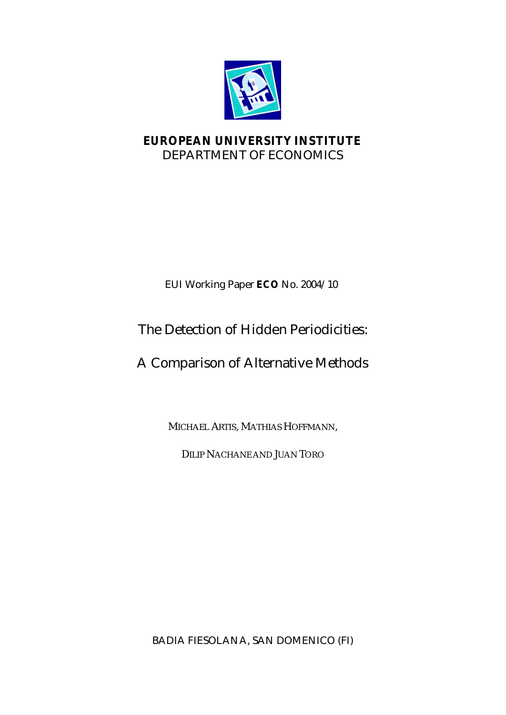

# **EUROPEAN UNIVERSITY INSTITUTE** DEPARTMENT OF ECONOMICS

# EUI Working Paper **ECO** No. 2004/10

# The Detection of Hidden Periodicities:

# A Comparison of Alternative Methods

MICHAEL ARTIS, MATHIAS HOFFMANN,

DILIP NACHANE AND JUAN TORO

BADIA FIESOLANA, SAN DOMENICO (FI)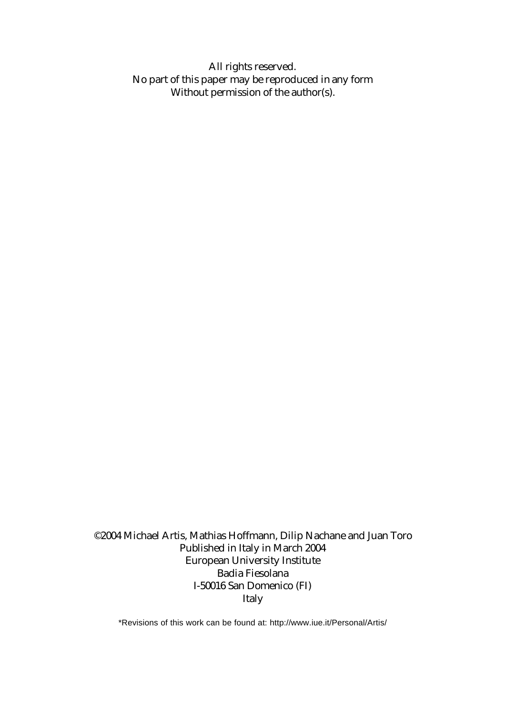All rights reserved. No part of this paper may be reproduced in any form Without permission of the author(s).

©2004 Michael Artis, Mathias Hoffmann, Dilip Nachane and Juan Toro Published in Italy in March 2004 European University Institute Badia Fiesolana I-50016 San Domenico (FI) Italy

\*Revisions of this work can be found at: http://www.iue.it/Personal/Artis/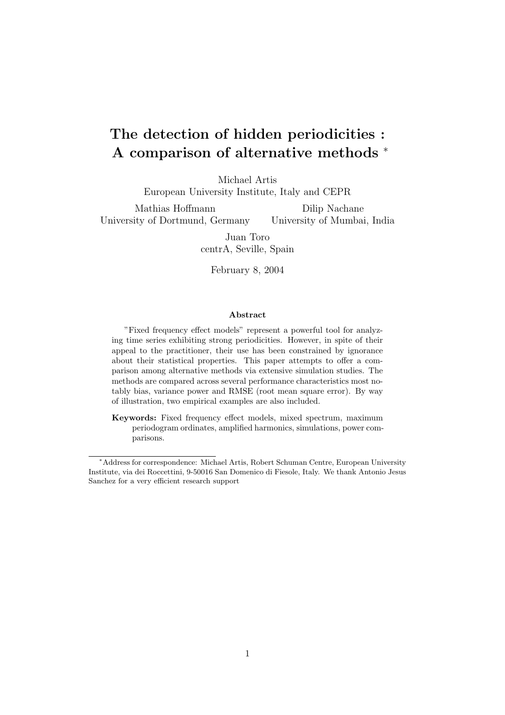# The detection of hidden periodicities : A comparison of alternative methods <sup>∗</sup>

Michael Artis

European University Institute, Italy and CEPR

Mathias Hoffmann University of Dortmund, Germany Dilip Nachane University of Mumbai, India

> Juan Toro centrA, Seville, Spain

> > February 8, 2004

#### Abstract

"Fixed frequency effect models" represent a powerful tool for analyzing time series exhibiting strong periodicities. However, in spite of their appeal to the practitioner, their use has been constrained by ignorance about their statistical properties. This paper attempts to offer a comparison among alternative methods via extensive simulation studies. The methods are compared across several performance characteristics most notably bias, variance power and RMSE (root mean square error). By way of illustration, two empirical examples are also included.

Keywords: Fixed frequency effect models, mixed spectrum, maximum periodogram ordinates, amplified harmonics, simulations, power comparisons.

<sup>∗</sup>Address for correspondence: Michael Artis, Robert Schuman Centre, European University Institute, via dei Roccettini, 9-50016 San Domenico di Fiesole, Italy. We thank Antonio Jesus Sanchez for a very efficient research support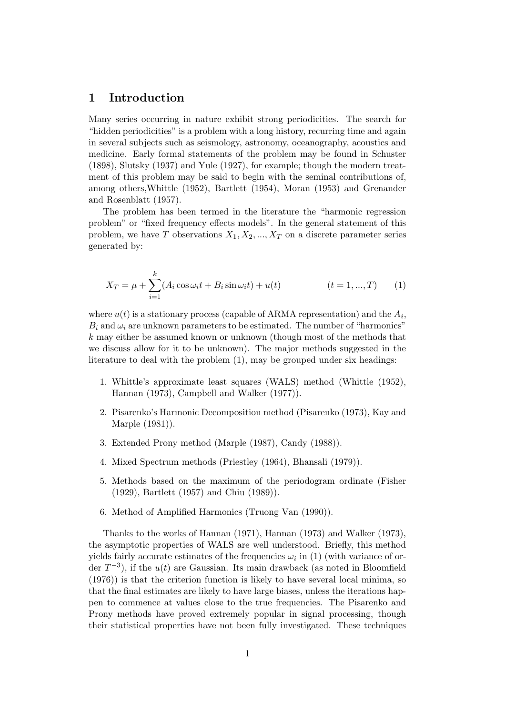# 1 Introduction

Many series occurring in nature exhibit strong periodicities. The search for "hidden periodicities" is a problem with a long history, recurring time and again in several subjects such as seismology, astronomy, oceanography, acoustics and medicine. Early formal statements of the problem may be found in Schuster (1898), Slutsky (1937) and Yule (1927), for example; though the modern treatment of this problem may be said to begin with the seminal contributions of, among others,Whittle (1952), Bartlett (1954), Moran (1953) and Grenander and Rosenblatt (1957).

The problem has been termed in the literature the "harmonic regression problem" or "fixed frequency effects models". In the general statement of this problem, we have T observations  $X_1, X_2, ..., X_T$  on a discrete parameter series generated by:

$$
X_T = \mu + \sum_{i=1}^{k} (A_i \cos \omega_i t + B_i \sin \omega_i t) + u(t) \qquad (t = 1, ..., T) \qquad (1)
$$

where  $u(t)$  is a stationary process (capable of ARMA representation) and the  $A_i$ ,  $B_i$  and  $\omega_i$  are unknown parameters to be estimated. The number of "harmonics" k may either be assumed known or unknown (though most of the methods that we discuss allow for it to be unknown). The major methods suggested in the literature to deal with the problem (1), may be grouped under six headings:

- 1. Whittle's approximate least squares (WALS) method (Whittle (1952), Hannan (1973), Campbell and Walker (1977)).
- 2. Pisarenko's Harmonic Decomposition method (Pisarenko (1973), Kay and Marple (1981)).
- 3. Extended Prony method (Marple (1987), Candy (1988)).
- 4. Mixed Spectrum methods (Priestley (1964), Bhansali (1979)).
- 5. Methods based on the maximum of the periodogram ordinate (Fisher (1929), Bartlett (1957) and Chiu (1989)).
- 6. Method of Amplified Harmonics (Truong Van (1990)).

Thanks to the works of Hannan (1971), Hannan (1973) and Walker (1973), the asymptotic properties of WALS are well understood. Briefly, this method yields fairly accurate estimates of the frequencies  $\omega_i$  in (1) (with variance of order  $T^{-3}$ ), if the  $u(t)$  are Gaussian. Its main drawback (as noted in Bloomfield (1976)) is that the criterion function is likely to have several local minima, so that the final estimates are likely to have large biases, unless the iterations happen to commence at values close to the true frequencies. The Pisarenko and Prony methods have proved extremely popular in signal processing, though their statistical properties have not been fully investigated. These techniques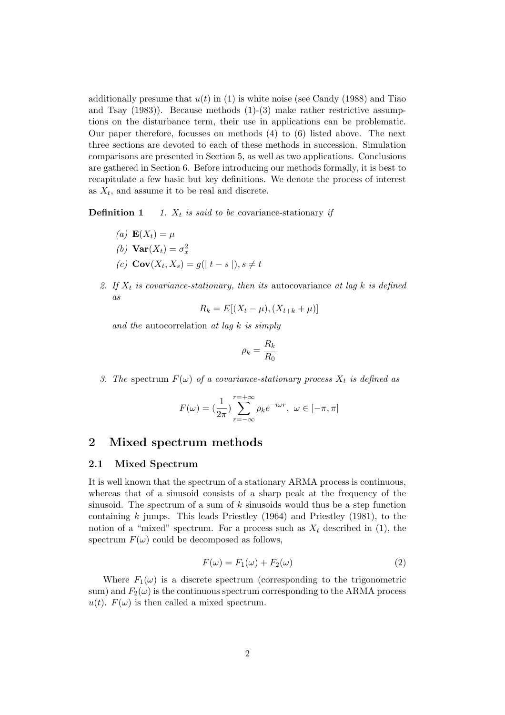additionally presume that  $u(t)$  in (1) is white noise (see Candy (1988) and Tiao and Tsay (1983)). Because methods (1)-(3) make rather restrictive assumptions on the disturbance term, their use in applications can be problematic. Our paper therefore, focusses on methods (4) to (6) listed above. The next three sections are devoted to each of these methods in succession. Simulation comparisons are presented in Section 5, as well as two applications. Conclusions are gathered in Section 6. Before introducing our methods formally, it is best to recapitulate a few basic but key definitions. We denote the process of interest as  $X_t$ , and assume it to be real and discrete.

**Definition 1** 1.  $X_t$  is said to be covariance-stationary if

- (a)  $\mathbf{E}(X_t) = \mu$ (b)  $\text{Var}(X_t) = \sigma_x^2$ (c)  $Cov(X_t, X_s) = g(|t - s|), s \neq t$
- 2. If  $X_t$  is covariance-stationary, then its autocovariance at lag k is defined as

$$
R_k = E[(X_t - \mu), (X_{t+k} + \mu)]
$$

and the autocorrelation at lag  $k$  is simply

$$
\rho_k = \frac{R_k}{R_0}
$$

3. The spectrum  $F(\omega)$  of a covariance-stationary process  $X_t$  is defined as

$$
F(\omega) = \left(\frac{1}{2\pi}\right) \sum_{r=-\infty}^{r=+\infty} \rho_k e^{-i\omega r}, \ \omega \in [-\pi, \pi]
$$

# 2 Mixed spectrum methods

## 2.1 Mixed Spectrum

It is well known that the spectrum of a stationary ARMA process is continuous, whereas that of a sinusoid consists of a sharp peak at the frequency of the sinusoid. The spectrum of a sum of  $k$  sinusoids would thus be a step function containing  $k$  jumps. This leads Priestley (1964) and Priestley (1981), to the notion of a "mixed" spectrum. For a process such as  $X_t$  described in (1), the spectrum  $F(\omega)$  could be decomposed as follows,

$$
F(\omega) = F_1(\omega) + F_2(\omega) \tag{2}
$$

Where  $F_1(\omega)$  is a discrete spectrum (corresponding to the trigonometric sum) and  $F_2(\omega)$  is the continuous spectrum corresponding to the ARMA process  $u(t)$ .  $F(\omega)$  is then called a mixed spectrum.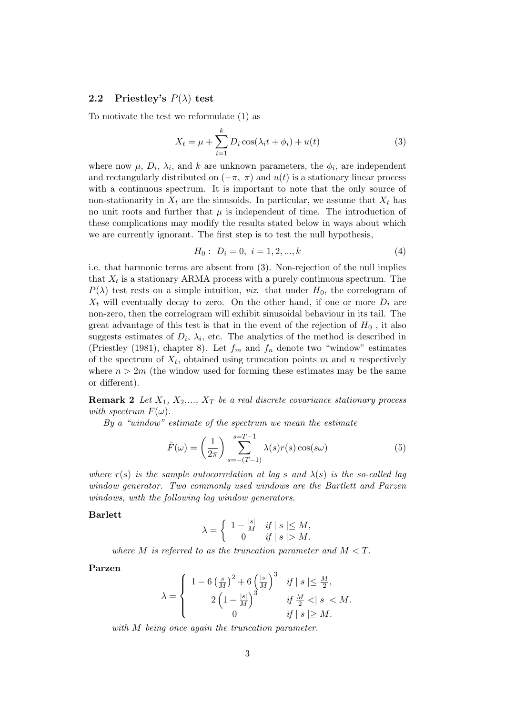# 2.2 Priestley's  $P(\lambda)$  test

To motivate the test we reformulate (1) as

$$
X_t = \mu + \sum_{i=1}^{k} D_i \cos(\lambda_i t + \phi_i) + u(t)
$$
\n(3)

where now  $\mu$ ,  $D_i$ ,  $\lambda_i$ , and k are unknown parameters, the  $\phi_i$ , are independent and rectangularly distributed on  $(-\pi, \pi)$  and  $u(t)$  is a stationary linear process with a continuous spectrum. It is important to note that the only source of non-stationarity in  $X_t$  are the sinusoids. In particular, we assume that  $X_t$  has no unit roots and further that  $\mu$  is independent of time. The introduction of these complications may modify the results stated below in ways about which we are currently ignorant. The first step is to test the null hypothesis,

$$
H_0: D_i = 0, i = 1, 2, ..., k \tag{4}
$$

i.e. that harmonic terms are absent from (3). Non-rejection of the null implies that  $X_t$  is a stationary ARMA process with a purely continuous spectrum. The  $P(\lambda)$  test rests on a simple intuition, *viz.* that under  $H_0$ , the correlogram of  $X_t$  will eventually decay to zero. On the other hand, if one or more  $D_i$  are non-zero, then the correlogram will exhibit sinusoidal behaviour in its tail. The great advantage of this test is that in the event of the rejection of  $H_0$ , it also suggests estimates of  $D_i$ ,  $\lambda_i$ , etc. The analytics of the method is described in (Priestley (1981), chapter 8). Let  $f_m$  and  $f_n$  denote two "window" estimates of the spectrum of  $X_t$ , obtained using truncation points m and n respectively where  $n > 2m$  (the window used for forming these estimates may be the same or different).

**Remark 2** Let  $X_1, X_2, ..., X_T$  be a real discrete covariance stationary process with spectrum  $F(\omega)$ .

By a "window" estimate of the spectrum we mean the estimate

$$
\hat{F}(\omega) = \left(\frac{1}{2\pi}\right) \sum_{s=-\left(T-1\right)}^{s=T-1} \lambda(s)r(s)\cos(s\omega) \tag{5}
$$

where  $r(s)$  is the sample autocorrelation at lag s and  $\lambda(s)$  is the so-called lag window generator. Two commonly used windows are the Bartlett and Parzen windows, with the following lag window generators.

#### Barlett

$$
\lambda = \begin{cases} 1 - \frac{|s|}{M} & \text{if } |s| \le M, \\ 0 & \text{if } |s| > M. \end{cases}
$$

where M is referred to as the truncation parameter and  $M < T$ .

Parzen

$$
\lambda = \begin{cases}\n1 - 6\left(\frac{s}{M}\right)^2 + 6\left(\frac{|s|}{M}\right)^3 & \text{if } |s| \leq \frac{M}{2}, \\
2\left(1 - \frac{|s|}{M}\right)^3 & \text{if } \frac{M}{2} < |s| < M. \\
0 & \text{if } |s| \geq M.\n\end{cases}
$$

with M being once again the truncation parameter.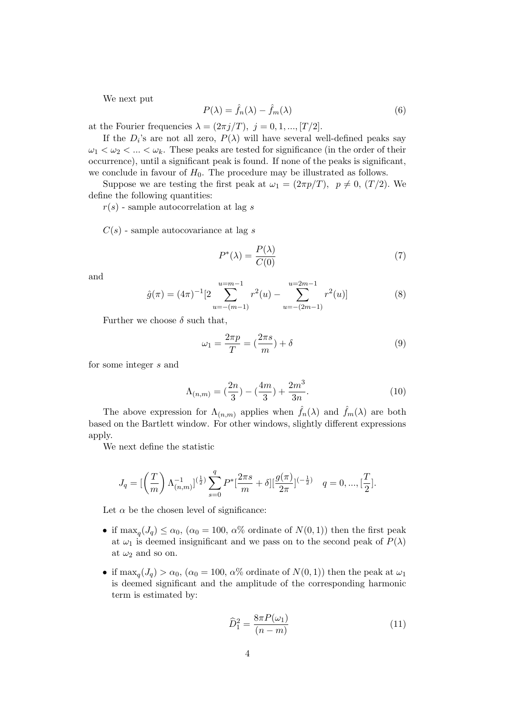We next put

$$
P(\lambda) = \hat{f}_n(\lambda) - \hat{f}_m(\lambda) \tag{6}
$$

at the Fourier frequencies  $\lambda=(2\pi j/T),\ j=0,1,...,[T/2].$ 

If the  $D_i$ 's are not all zero,  $P(\lambda)$  will have several well-defined peaks say  $\omega_1 < \omega_2 < \ldots < \omega_k$ . These peaks are tested for significance (in the order of their occurrence), until a significant peak is found. If none of the peaks is significant, we conclude in favour of  $H_0$ . The procedure may be illustrated as follows.

Suppose we are testing the first peak at  $\omega_1 = (2\pi p/T)$ ,  $p \neq 0$ ,  $(T/2)$ . We define the following quantities:

 $r(s)$  - sample autocorrelation at lag s

 $C(s)$  - sample autocovariance at lag s

$$
P^*(\lambda) = \frac{P(\lambda)}{C(0)}\tag{7}
$$

and

$$
\hat{g}(\pi) = (4\pi)^{-1} [2 \sum_{u=-(m-1)}^{u=m-1} r^2(u) - \sum_{u=-(2m-1)}^{u=2m-1} r^2(u)] \tag{8}
$$

Further we choose  $\delta$  such that,

$$
\omega_1 = \frac{2\pi p}{T} = \left(\frac{2\pi s}{m}\right) + \delta \tag{9}
$$

for some integer s and

$$
\Lambda_{(n,m)} = \left(\frac{2n}{3}\right) - \left(\frac{4m}{3}\right) + \frac{2m^3}{3n}.\tag{10}
$$

The above expression for  $\Lambda_{(n,m)}$  applies when  $\hat{f}_n(\lambda)$  and  $\hat{f}_m(\lambda)$  are both based on the Bartlett window. For other windows, slightly different expressions apply.

We next define the statistic

$$
J_q = \left[ \left( \frac{T}{m} \right) \Lambda_{(n,m)}^{-1} \right]^{(\frac{1}{2})} \sum_{s=0}^q P^* \left[ \frac{2\pi s}{m} + \delta \right] \left[ \frac{g(\pi)}{2\pi} \right]^{(-\frac{1}{2})} q = 0, \dots, \left[ \frac{T}{2} \right].
$$

Let  $\alpha$  be the chosen level of significance:

- if  $\max_q(J_q) \leq \alpha_0$ ,  $(\alpha_0 = 100, \alpha)$  ordinate of  $N(0, 1)$  then the first peak at  $\omega_1$  is deemed insignificant and we pass on to the second peak of  $P(\lambda)$ at  $\omega_2$  and so on.
- if  $\max_q(J_q) > \alpha_0$ ,  $(\alpha_0 = 100, \alpha)$  ordinate of  $N(0, 1)$  then the peak at  $\omega_1$ is deemed significant and the amplitude of the corresponding harmonic term is estimated by:

$$
\widehat{D}_1^2 = \frac{8\pi P(\omega_1)}{(n-m)}\tag{11}
$$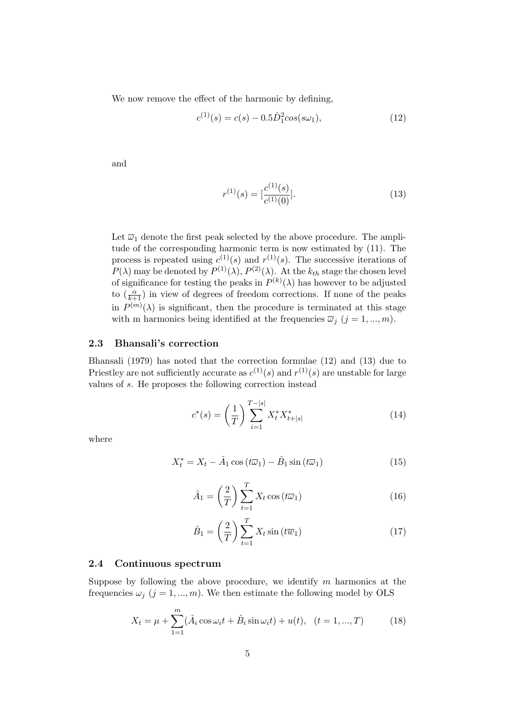We now remove the effect of the harmonic by defining,

$$
c^{(1)}(s) = c(s) - 0.5\hat{D}_1^2 \cos(s\omega_1), \tag{12}
$$

and

$$
r^{(1)}(s) = \left[\frac{c^{(1)}(s)}{c^{(1)}(0)}\right].\tag{13}
$$

Let  $\overline{\omega}_1$  denote the first peak selected by the above procedure. The amplitude of the corresponding harmonic term is now estimated by (11). The process is repeated using  $c^{(1)}(s)$  and  $r^{(1)}(s)$ . The successive iterations of  $P(\lambda)$  may be denoted by  $P^{(1)}(\lambda)$ ,  $P^{(2)}(\lambda)$ . At the  $k_{th}$  stage the chosen level of significance for testing the peaks in  $P^{(k)}(\lambda)$  has however to be adjusted to  $\left(\frac{\alpha}{k+1}\right)$  in view of degrees of freedom corrections. If none of the peaks in  $P^{(m)}(\lambda)$  is significant, then the procedure is terminated at this stage with m harmonics being identified at the frequencies  $\overline{\omega}_j$  (j = 1, ..., m).

#### 2.3 Bhansali's correction

Bhansali (1979) has noted that the correction formulae (12) and (13) due to Priestley are not sufficiently accurate as  $c^{(1)}(s)$  and  $r^{(1)}(s)$  are unstable for large values of s. He proposes the following correction instead

$$
c^*(s) = \left(\frac{1}{T}\right) \sum_{i=1}^{T-|s|} X_t^* X_{t+|s|}^* \tag{14}
$$

where

$$
X_t^* = X_t - \hat{A}_1 \cos(t\overline{\omega}_1) - \hat{B}_1 \sin(t\overline{\omega}_1)
$$
 (15)

$$
\hat{A}_1 = \left(\frac{2}{T}\right) \sum_{t=1}^T X_t \cos\left(t\overline{\omega}_1\right) \tag{16}
$$

$$
\hat{B}_1 = \left(\frac{2}{T}\right) \sum_{t=1}^T X_t \sin\left(t\overline{w}_1\right) \tag{17}
$$

# 2.4 Continuous spectrum

Suppose by following the above procedure, we identify  $m$  harmonics at the frequencies  $\omega_j$  (j = 1, ..., m). We then estimate the following model by OLS

$$
X_t = \mu + \sum_{1=1}^{m} (\hat{A}_i \cos \omega_i t + \hat{B}_i \sin \omega_i t) + u(t), \quad (t = 1, ..., T)
$$
 (18)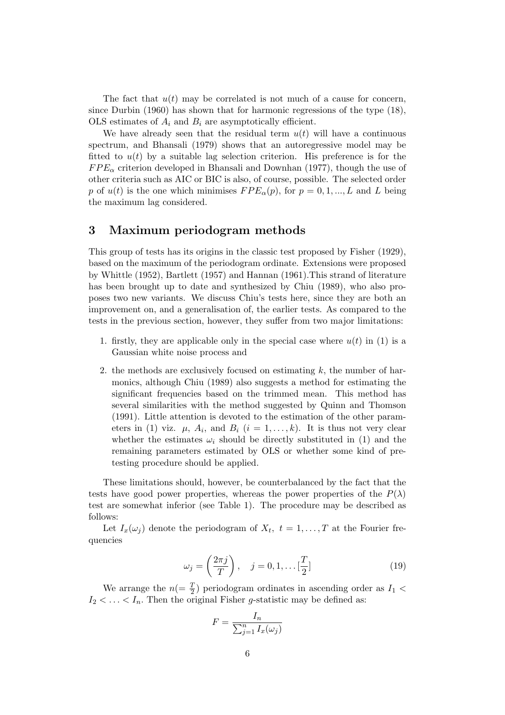The fact that  $u(t)$  may be correlated is not much of a cause for concern, since Durbin (1960) has shown that for harmonic regressions of the type (18), OLS estimates of  $A_i$  and  $B_i$  are asymptotically efficient.

We have already seen that the residual term  $u(t)$  will have a continuous spectrum, and Bhansali (1979) shows that an autoregressive model may be fitted to  $u(t)$  by a suitable lag selection criterion. His preference is for the  $FPE_{\alpha}$  criterion developed in Bhansali and Downhan (1977), though the use of other criteria such as AIC or BIC is also, of course, possible. The selected order p of  $u(t)$  is the one which minimises  $FPE_{\alpha}(p)$ , for  $p = 0, 1, ..., L$  and L being the maximum lag considered.

# 3 Maximum periodogram methods

This group of tests has its origins in the classic test proposed by Fisher (1929), based on the maximum of the periodogram ordinate. Extensions were proposed by Whittle (1952), Bartlett (1957) and Hannan (1961).This strand of literature has been brought up to date and synthesized by Chiu (1989), who also proposes two new variants. We discuss Chiu's tests here, since they are both an improvement on, and a generalisation of, the earlier tests. As compared to the tests in the previous section, however, they suffer from two major limitations:

- 1. firstly, they are applicable only in the special case where  $u(t)$  in (1) is a Gaussian white noise process and
- 2. the methods are exclusively focused on estimating  $k$ , the number of harmonics, although Chiu (1989) also suggests a method for estimating the significant frequencies based on the trimmed mean. This method has several similarities with the method suggested by Quinn and Thomson (1991). Little attention is devoted to the estimation of the other parameters in (1) viz.  $\mu$ ,  $A_i$ , and  $B_i$   $(i = 1, ..., k)$ . It is thus not very clear whether the estimates  $\omega_i$  should be directly substituted in (1) and the remaining parameters estimated by OLS or whether some kind of pretesting procedure should be applied.

These limitations should, however, be counterbalanced by the fact that the tests have good power properties, whereas the power properties of the  $P(\lambda)$ test are somewhat inferior (see Table 1). The procedure may be described as follows:

Let  $I_x(\omega_j)$  denote the periodogram of  $X_t$ ,  $t = 1, \ldots, T$  at the Fourier frequencies

$$
\omega_j = \left(\frac{2\pi j}{T}\right), \quad j = 0, 1, \dots, \left[\frac{T}{2}\right]
$$
\n(19)

We arrange the  $n(=\frac{T}{2})$  periodogram ordinates in ascending order as  $I_1$  <  $I_2 < \ldots < I_n$ . Then the original Fisher *g*-statistic may be defined as:

$$
F = \frac{I_n}{\sum_{j=1}^n I_x(\omega_j)}
$$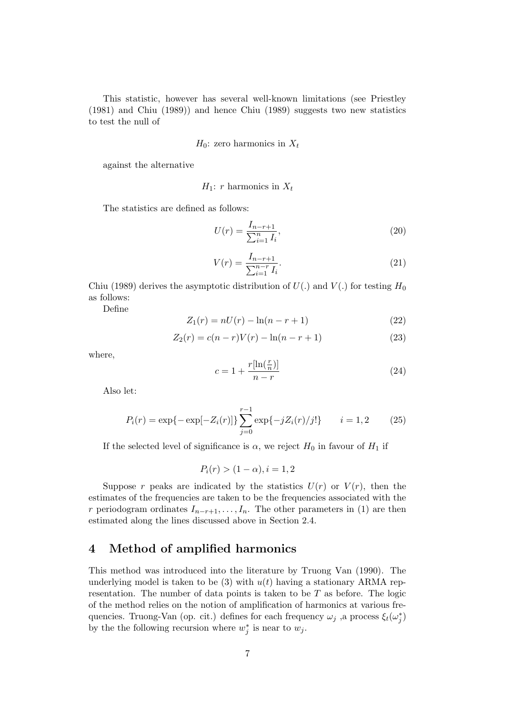This statistic, however has several well-known limitations (see Priestley (1981) and Chiu (1989)) and hence Chiu (1989) suggests two new statistics to test the null of

$$
H_0
$$
: zero harmonics in  $X_t$ 

against the alternative

 $H_1$ : r harmonics in  $X_t$ 

The statistics are defined as follows:

$$
U(r) = \frac{I_{n-r+1}}{\sum_{i=1}^{n} I_i},\tag{20}
$$

$$
V(r) = \frac{I_{n-r+1}}{\sum_{i=1}^{n-r} I_i}.
$$
\n(21)

Chiu (1989) derives the asymptotic distribution of  $U(.)$  and  $V(.)$  for testing  $H_0$ as follows:

Define

$$
Z_1(r) = nU(r) - \ln(n - r + 1)
$$
\n(22)

$$
Z_2(r) = c(n-r)V(r) - \ln(n-r+1)
$$
\n(23)

where,

$$
c = 1 + \frac{r[\ln(\frac{r}{n})]}{n-r}
$$
\n<sup>(24)</sup>

Also let:

$$
P_i(r) = \exp\{-\exp[-Z_i(r)]\} \sum_{j=0}^{r-1} \exp\{-jZ_i(r)/j!\} \qquad i = 1, 2 \qquad (25)
$$

If the selected level of significance is  $\alpha$ , we reject  $H_0$  in favour of  $H_1$  if

$$
P_i(r) > (1 - \alpha), i = 1, 2
$$

Suppose r peaks are indicated by the statistics  $U(r)$  or  $V(r)$ , then the estimates of the frequencies are taken to be the frequencies associated with the r periodogram ordinates  $I_{n-r+1}, \ldots, I_n$ . The other parameters in (1) are then estimated along the lines discussed above in Section 2.4.

# 4 Method of amplified harmonics

This method was introduced into the literature by Truong Van (1990). The underlying model is taken to be (3) with  $u(t)$  having a stationary ARMA representation. The number of data points is taken to be  $T$  as before. The logic of the method relies on the notion of amplification of harmonics at various frequencies. Truong-Van (op. cit.) defines for each frequency  $\omega_j$ , a process  $\xi_t(\omega_j^*)$ by the the following recursion where  $w_j^*$  is near to  $w_j$ .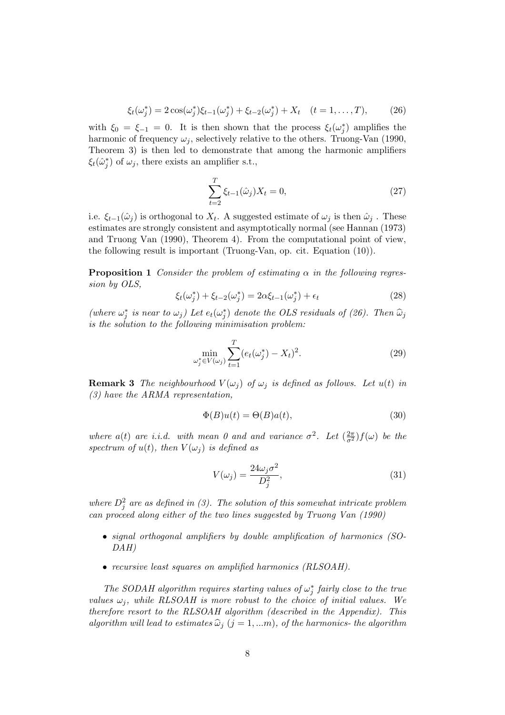$$
\xi_t(\omega_j^*) = 2\cos(\omega_j^*)\xi_{t-1}(\omega_j^*) + \xi_{t-2}(\omega_j^*) + X_t \quad (t = 1, \dots, T), \tag{26}
$$

with  $\xi_0 = \xi_{-1} = 0$ . It is then shown that the process  $\xi_t(\omega_j^*)$  amplifies the harmonic of frequency  $\omega_i$ , selectively relative to the others. Truong-Van (1990, Theorem 3) is then led to demonstrate that among the harmonic amplifiers  $\xi_t(\hat{\omega}_j^*)$  of  $\omega_j$ , there exists an amplifier s.t.,

$$
\sum_{t=2}^{T} \xi_{t-1}(\hat{\omega}_j) X_t = 0,
$$
\n(27)

i.e.  $\xi_{t-1}(\hat{\omega}_j)$  is orthogonal to  $X_t$ . A suggested estimate of  $\omega_j$  is then  $\hat{\omega}_j$ . These estimates are strongly consistent and asymptotically normal (see Hannan (1973) and Truong Van (1990), Theorem 4). From the computational point of view, the following result is important (Truong-Van, op. cit. Equation (10)).

**Proposition 1** Consider the problem of estimating  $\alpha$  in the following regression by OLS,

$$
\xi_t(\omega_j^*) + \xi_{t-2}(\omega_j^*) = 2\alpha \xi_{t-1}(\omega_j^*) + \epsilon_t \tag{28}
$$

(where  $\omega_j^*$  is near to  $\omega_j$ ) Let  $e_t(\omega_j^*)$  denote the OLS residuals of (26). Then  $\widehat{\omega}_j$ is the solution to the following minimisation problem:

$$
\min_{\omega_j^* \in V(\omega_j)} \sum_{t=1}^T (e_t(\omega_j^*) - X_t)^2.
$$
\n(29)

**Remark 3** The neighbourhood  $V(\omega_j)$  of  $\omega_j$  is defined as follows. Let  $u(t)$  in (3) have the ARMA representation,

$$
\Phi(B)u(t) = \Theta(B)a(t),\tag{30}
$$

where a(t) are i.i.d. with mean 0 and and variance  $\sigma^2$ . Let  $\left(\frac{2\pi}{\sigma^2}\right) f(\omega)$  be the spectrum of  $u(t)$ , then  $V(\omega_i)$  is defined as

$$
V(\omega_j) = \frac{24\omega_j \sigma^2}{D_j^2},\tag{31}
$$

where  $D_j^2$  are as defined in (3). The solution of this somewhat intricate problem can proceed along either of the two lines suggested by Truong Van (1990)

- signal orthogonal amplifiers by double amplification of harmonics (SO-DAH)
- recursive least squares on amplified harmonics (RLSOAH).

The SODAH algorithm requires starting values of  $\omega_j^*$  fairly close to the true values  $\omega_i$ , while RLSOAH is more robust to the choice of initial values. We therefore resort to the RLSOAH algorithm (described in the Appendix). This algorithm will lead to estimates  $\hat{\omega}_j$  (j = 1, ...m), of the harmonics- the algorithm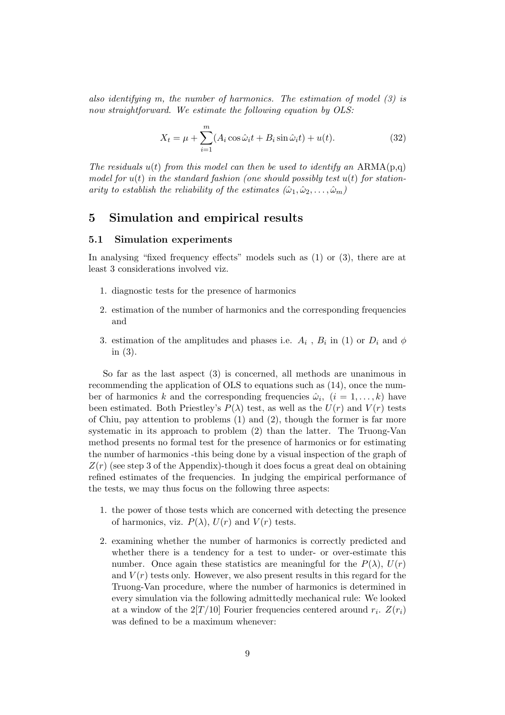also identifying m, the number of harmonics. The estimation of model (3) is now straightforward. We estimate the following equation by OLS:

$$
X_t = \mu + \sum_{i=1}^m (A_i \cos \hat{\omega}_i t + B_i \sin \hat{\omega}_i t) + u(t).
$$
 (32)

The residuals  $u(t)$  from this model can then be used to identify an ARMA(p,q) model for  $u(t)$  in the standard fashion (one should possibly test  $u(t)$  for stationarity to establish the reliability of the estimates  $(\hat{\omega}_1, \hat{\omega}_2, \dots, \hat{\omega}_m)$ 

# 5 Simulation and empirical results

# 5.1 Simulation experiments

In analysing "fixed frequency effects" models such as (1) or (3), there are at least 3 considerations involved viz.

- 1. diagnostic tests for the presence of harmonics
- 2. estimation of the number of harmonics and the corresponding frequencies and
- 3. estimation of the amplitudes and phases i.e.  $A_i$ ,  $B_i$  in (1) or  $D_i$  and  $\phi$ in (3).

So far as the last aspect (3) is concerned, all methods are unanimous in recommending the application of OLS to equations such as (14), once the number of harmonics k and the corresponding frequencies  $\hat{\omega}_i$ ,  $(i = 1, \ldots, k)$  have been estimated. Both Priestley's  $P(\lambda)$  test, as well as the  $U(r)$  and  $V(r)$  tests of Chiu, pay attention to problems  $(1)$  and  $(2)$ , though the former is far more systematic in its approach to problem (2) than the latter. The Truong-Van method presents no formal test for the presence of harmonics or for estimating the number of harmonics -this being done by a visual inspection of the graph of  $Z(r)$  (see step 3 of the Appendix)-though it does focus a great deal on obtaining refined estimates of the frequencies. In judging the empirical performance of the tests, we may thus focus on the following three aspects:

- 1. the power of those tests which are concerned with detecting the presence of harmonics, viz.  $P(\lambda)$ ,  $U(r)$  and  $V(r)$  tests.
- 2. examining whether the number of harmonics is correctly predicted and whether there is a tendency for a test to under- or over-estimate this number. Once again these statistics are meaningful for the  $P(\lambda)$ ,  $U(r)$ and  $V(r)$  tests only. However, we also present results in this regard for the Truong-Van procedure, where the number of harmonics is determined in every simulation via the following admittedly mechanical rule: We looked at a window of the  $2[T/10]$  Fourier frequencies centered around  $r_i$ .  $Z(r_i)$ was defined to be a maximum whenever: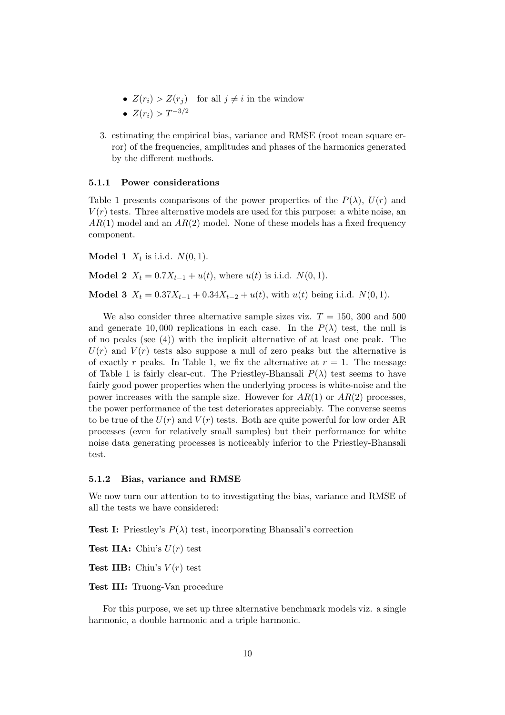- $Z(r_i) > Z(r_i)$  for all  $j \neq i$  in the window
- $\bullet$   $Z(r_i) > T^{-3/2}$
- 3. estimating the empirical bias, variance and RMSE (root mean square error) of the frequencies, amplitudes and phases of the harmonics generated by the different methods.

#### 5.1.1 Power considerations

Table 1 presents comparisons of the power properties of the  $P(\lambda)$ ,  $U(r)$  and  $V(r)$  tests. Three alternative models are used for this purpose: a white noise, an  $AR(1)$  model and an  $AR(2)$  model. None of these models has a fixed frequency component.

**Model 1**  $X_t$  is i.i.d.  $N(0, 1)$ .

**Model 2**  $X_t = 0.7X_{t-1} + u(t)$ , where  $u(t)$  is i.i.d.  $N(0, 1)$ .

Model 3  $X_t = 0.37X_{t-1} + 0.34X_{t-2} + u(t)$ , with  $u(t)$  being i.i.d.  $N(0, 1)$ .

We also consider three alternative sample sizes viz.  $T = 150$ , 300 and 500 and generate 10,000 replications in each case. In the  $P(\lambda)$  test, the null is of no peaks (see (4)) with the implicit alternative of at least one peak. The  $U(r)$  and  $V(r)$  tests also suppose a null of zero peaks but the alternative is of exactly r peaks. In Table 1, we fix the alternative at  $r = 1$ . The message of Table 1 is fairly clear-cut. The Priestley-Bhansali  $P(\lambda)$  test seems to have fairly good power properties when the underlying process is white-noise and the power increases with the sample size. However for  $AR(1)$  or  $AR(2)$  processes, the power performance of the test deteriorates appreciably. The converse seems to be true of the  $U(r)$  and  $V(r)$  tests. Both are quite powerful for low order AR processes (even for relatively small samples) but their performance for white noise data generating processes is noticeably inferior to the Priestley-Bhansali test.

## 5.1.2 Bias, variance and RMSE

We now turn our attention to to investigating the bias, variance and RMSE of all the tests we have considered:

**Test I:** Priestley's  $P(\lambda)$  test, incorporating Bhansali's correction

**Test IIA:** Chiu's  $U(r)$  test

**Test IIB:** Chiu's  $V(r)$  test

Test III: Truong-Van procedure

For this purpose, we set up three alternative benchmark models viz. a single harmonic, a double harmonic and a triple harmonic.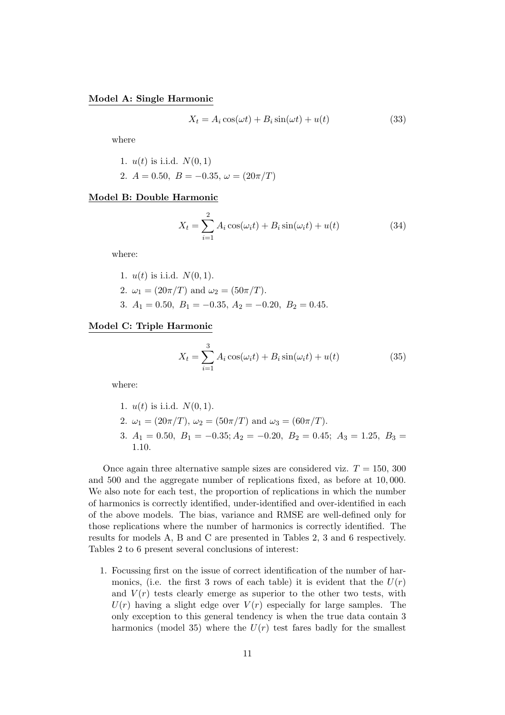# Model A: Single Harmonic

$$
X_t = A_i \cos(\omega t) + B_i \sin(\omega t) + u(t)
$$
\n(33)

where

\n- 1. 
$$
u(t)
$$
 is i.i.d.  $N(0, 1)$
\n- 2.  $A = 0.50$ ,  $B = -0.35$ ,  $\omega = (20\pi/T)$
\n

#### Model B: Double Harmonic

$$
X_t = \sum_{i=1}^{2} A_i \cos(\omega_i t) + B_i \sin(\omega_i t) + u(t)
$$
\n(34)

where:

\n- 1. 
$$
u(t)
$$
 is i.i.d.  $N(0,1)$ .
\n- 2.  $\omega_1 = (20\pi/T)$  and  $\omega_2 = (50\pi/T)$ .
\n- 3.  $A_1 = 0.50$ ,  $B_1 = -0.35$ ,  $A_2 = -0.20$ ,  $B_2 = 0.45$ .
\n

#### Model C: Triple Harmonic

$$
X_t = \sum_{i=1}^{3} A_i \cos(\omega_i t) + B_i \sin(\omega_i t) + u(t)
$$
\n(35)

where:

- 1.  $u(t)$  is i.i.d.  $N(0, 1)$ .
- 2.  $\omega_1 = (20\pi/T), \omega_2 = (50\pi/T)$  and  $\omega_3 = (60\pi/T)$ . 3.  $A_1 = 0.50, B_1 = -0.35; A_2 = -0.20, B_2 = 0.45; A_3 = 1.25, B_3 =$ 1.10.

Once again three alternative sample sizes are considered viz.  $T = 150, 300$ and 500 and the aggregate number of replications fixed, as before at 10, 000. We also note for each test, the proportion of replications in which the number of harmonics is correctly identified, under-identified and over-identified in each of the above models. The bias, variance and RMSE are well-defined only for those replications where the number of harmonics is correctly identified. The results for models A, B and C are presented in Tables 2, 3 and 6 respectively. Tables 2 to 6 present several conclusions of interest:

1. Focussing first on the issue of correct identification of the number of harmonics, (i.e. the first 3 rows of each table) it is evident that the  $U(r)$ and  $V(r)$  tests clearly emerge as superior to the other two tests, with  $U(r)$  having a slight edge over  $V(r)$  especially for large samples. The only exception to this general tendency is when the true data contain 3 harmonics (model 35) where the  $U(r)$  test fares badly for the smallest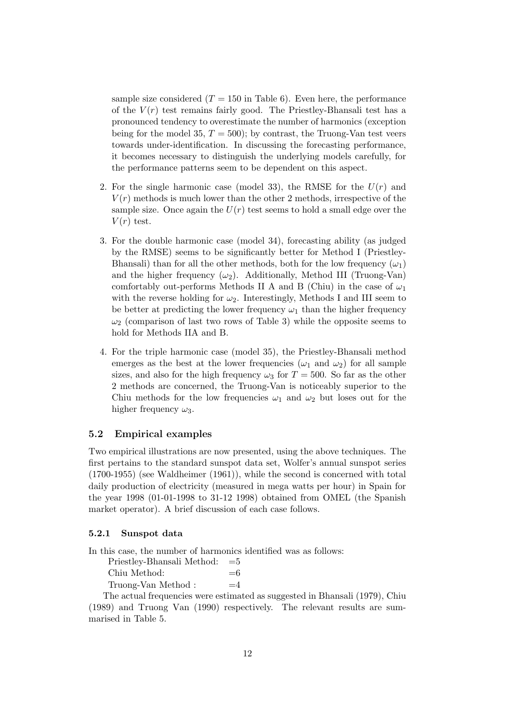sample size considered  $(T = 150$  in Table 6). Even here, the performance of the  $V(r)$  test remains fairly good. The Priestley-Bhansali test has a pronounced tendency to overestimate the number of harmonics (exception being for the model 35,  $T = 500$ ; by contrast, the Truong-Van test veers towards under-identification. In discussing the forecasting performance, it becomes necessary to distinguish the underlying models carefully, for the performance patterns seem to be dependent on this aspect.

- 2. For the single harmonic case (model 33), the RMSE for the  $U(r)$  and  $V(r)$  methods is much lower than the other 2 methods, irrespective of the sample size. Once again the  $U(r)$  test seems to hold a small edge over the  $V(r)$  test.
- 3. For the double harmonic case (model 34), forecasting ability (as judged by the RMSE) seems to be significantly better for Method I (Priestley-Bhansali) than for all the other methods, both for the low frequency  $(\omega_1)$ and the higher frequency  $(\omega_2)$ . Additionally, Method III (Truong-Van) comfortably out-performs Methods II A and B (Chiu) in the case of  $\omega_1$ with the reverse holding for  $\omega_2$ . Interestingly, Methods I and III seem to be better at predicting the lower frequency  $\omega_1$  than the higher frequency  $\omega_2$  (comparison of last two rows of Table 3) while the opposite seems to hold for Methods IIA and B.
- 4. For the triple harmonic case (model 35), the Priestley-Bhansali method emerges as the best at the lower frequencies ( $\omega_1$  and  $\omega_2$ ) for all sample sizes, and also for the high frequency  $\omega_3$  for  $T = 500$ . So far as the other 2 methods are concerned, the Truong-Van is noticeably superior to the Chiu methods for the low frequencies  $\omega_1$  and  $\omega_2$  but loses out for the higher frequency  $\omega_3$ .

# 5.2 Empirical examples

Two empirical illustrations are now presented, using the above techniques. The first pertains to the standard sunspot data set, Wolfer's annual sunspot series (1700-1955) (see Waldheimer (1961)), while the second is concerned with total daily production of electricity (measured in mega watts per hour) in Spain for the year 1998 (01-01-1998 to 31-12 1998) obtained from OMEL (the Spanish market operator). A brief discussion of each case follows.

## 5.2.1 Sunspot data

In this case, the number of harmonics identified was as follows:

| Priestley-Bhansali Method: $=5$ |      |
|---------------------------------|------|
| Chiu Method:                    | $=6$ |
| Truong-Van Method:              | $=4$ |

The actual frequencies were estimated as suggested in Bhansali (1979), Chiu (1989) and Truong Van (1990) respectively. The relevant results are summarised in Table 5.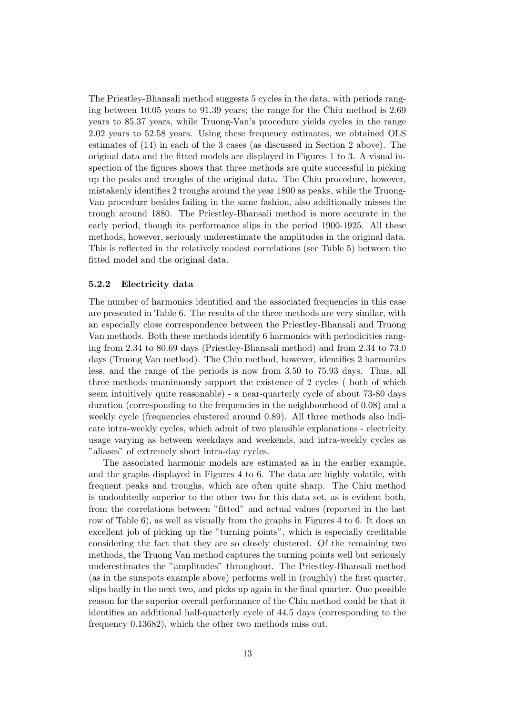The Priestley-Bhansali method suggests 5 cycles in the data, with periods ranging between 10.05 years to 91.39 years; the range for the Chiu method is 2.69 years to 85.37 years, while Truong-Van's procedure yields cycles in the range 2.02 years to 52.58 years. Using these frequency estimates, we obtained OLS estimates of (14) in each of the 3 cases (as discussed in Section 2 above). The original data and the fitted models are displayed in Figures 1 to 3. A visual inspection of the figures shows that three methods are quite successful in picking up the peaks and troughs of the original data. The Chiu procedure, however, mistakenly identifies 2 troughs around the year 1800 as peaks, while the Truong-Van procedure besides failing in the same fashion, also additionally misses the trough around 1880. The Priestley-Bhansali method is more accurate in the early period, though its performance slips in the period 1900-1925. All these methods, however, seriously underestimate the amplitudes in the original data. This is reflected in the relatively modest correlations (see Table 5) between the fitted model and the original data.

## 5.2.2 Electricity data

The number of harmonics identified and the associated frequencies in this case are presented in Table 6. The results of the three methods are very similar, with an especially close correspondence between the Priestley-Bhansali and Truong Van methods. Both these methods identify 6 harmonics with periodicities ranging from 2.34 to 80.69 days (Priestley-Bhansali method) and from 2.34 to 73.0 days (Truong Van method). The Chiu method, however, identifies 2 harmonics less, and the range of the periods is now from 3.50 to 75.93 days. Thus, all three methods unanimously support the existence of 2 cycles ( both of which seem intuitively quite reasonable) - a near-quarterly cycle of about 73-80 days duration (corresponding to the frequencies in the neighbourhood of 0.08) and a weekly cycle (frequencies clustered around 0.89). All three methods also indicate intra-weekly cycles, which admit of two plausible explanations - electricity usage varying as between weekdays and weekends, and intra-weekly cycles as "aliases" of extremely short intra-day cycles.

The associated harmonic models are estimated as in the earlier example, and the graphs displayed in Figures 4 to 6. The data are highly volatile, with frequent peaks and troughs, which are often quite sharp. The Chiu method is undoubtedly superior to the other two for this data set, as is evident both, from the correlations between "fitted" and actual values (reported in the last row of Table 6), as well as visually from the graphs in Figures 4 to 6. It does an excellent job of picking up the "turning points", which is especially creditable considering the fact that they are so closely clustered. Of the remaining two methods, the Truong Van method captures the turning points well but seriously underestimates the "amplitudes" throughout. The Priestley-Bhansali method (as in the sunspots example above) performs well in (roughly) the first quarter, slips badly in the next two, and picks up again in the final quarter. One possible reason for the superior overall performance of the Chiu method could be that it identifies an additional half-quarterly cycle of 44.5 days (corresponding to the frequency 0.13682), which the other two methods miss out.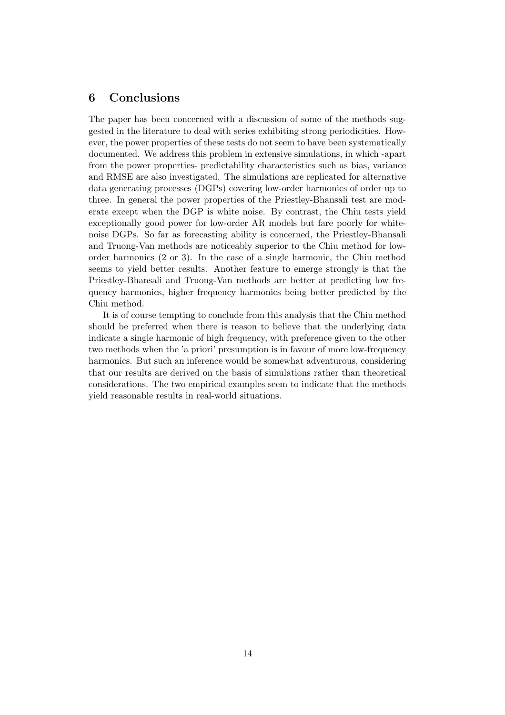# 6 Conclusions

The paper has been concerned with a discussion of some of the methods suggested in the literature to deal with series exhibiting strong periodicities. However, the power properties of these tests do not seem to have been systematically documented. We address this problem in extensive simulations, in which -apart from the power properties- predictability characteristics such as bias, variance and RMSE are also investigated. The simulations are replicated for alternative data generating processes (DGPs) covering low-order harmonics of order up to three. In general the power properties of the Priestley-Bhansali test are moderate except when the DGP is white noise. By contrast, the Chiu tests yield exceptionally good power for low-order AR models but fare poorly for whitenoise DGPs. So far as forecasting ability is concerned, the Priestley-Bhansali and Truong-Van methods are noticeably superior to the Chiu method for loworder harmonics (2 or 3). In the case of a single harmonic, the Chiu method seems to yield better results. Another feature to emerge strongly is that the Priestley-Bhansali and Truong-Van methods are better at predicting low frequency harmonics, higher frequency harmonics being better predicted by the Chiu method.

It is of course tempting to conclude from this analysis that the Chiu method should be preferred when there is reason to believe that the underlying data indicate a single harmonic of high frequency, with preference given to the other two methods when the 'a priori' presumption is in favour of more low-frequency harmonics. But such an inference would be somewhat adventurous, considering that our results are derived on the basis of simulations rather than theoretical considerations. The two empirical examples seem to indicate that the methods yield reasonable results in real-world situations.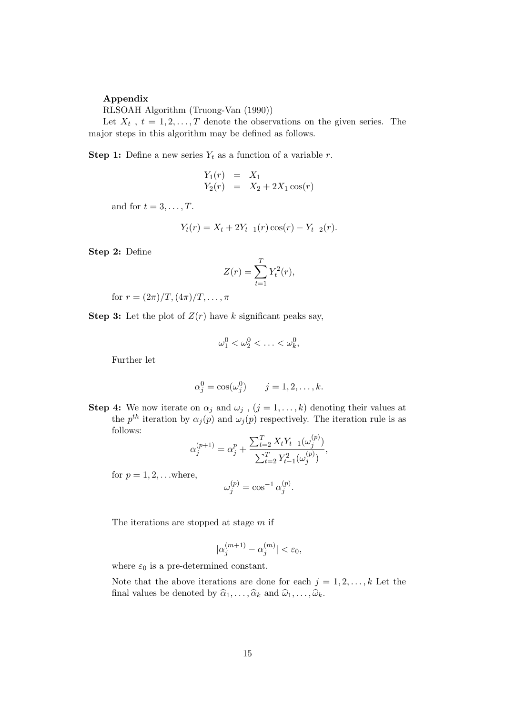#### Appendix

RLSOAH Algorithm (Truong-Van (1990))

Let  $X_t$ ,  $t = 1, 2, ..., T$  denote the observations on the given series. The major steps in this algorithm may be defined as follows.

**Step 1:** Define a new series  $Y_t$  as a function of a variable r.

$$
Y_1(r) = X_1
$$
  
\n
$$
Y_2(r) = X_2 + 2X_1 \cos(r)
$$

and for  $t = 3, \ldots, T$ .

$$
Y_t(r) = X_t + 2Y_{t-1}(r)\cos(r) - Y_{t-2}(r).
$$

Step 2: Define

$$
Z(r) = \sum_{t=1}^{T} Y_t^2(r),
$$

for  $r = (2\pi)/T, (4\pi)/T, \ldots, \pi$ 

**Step 3:** Let the plot of  $Z(r)$  have k significant peaks say,

$$
\omega_1^0 < \omega_2^0 < \ldots < \omega_k^0,
$$

Further let

$$
\alpha_j^0 = \cos(\omega_j^0) \qquad j = 1, 2, \dots, k.
$$

**Step 4:** We now iterate on  $\alpha_j$  and  $\omega_j$ ,  $(j = 1, ..., k)$  denoting their values at the  $p^{th}$  iteration by  $\alpha_j(p)$  and  $\omega_j(p)$  respectively. The iteration rule is as follows:

$$
\alpha_j^{(p+1)} = \alpha_j^p + \frac{\sum_{t=2}^T X_t Y_{t-1}(\omega_j^{(p)})}{\sum_{t=2}^T Y_{t-1}^2(\omega_j^{(p)})},
$$

for  $p = 1, 2, \ldots$  where,

$$
\omega_j^{(p)} = \cos^{-1} \alpha_j^{(p)}.
$$

The iterations are stopped at stage m if

$$
|\alpha_j^{(m+1)} - \alpha_j^{(m)}| < \varepsilon_0,
$$

where  $\varepsilon_0$  is a pre-determined constant.

Note that the above iterations are done for each  $j = 1, 2, \ldots, k$  Let the final values be denoted by  $\widehat{\alpha}_1, \ldots, \widehat{\alpha}_k$  and  $\widehat{\omega}_1, \ldots, \widehat{\omega}_k$ .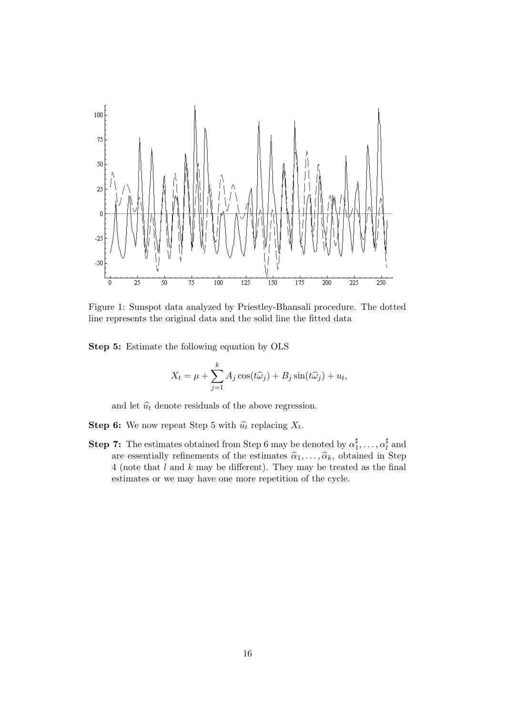

Figure 1: Sunspot data analyzed by Priestley-Bhansali procedure. The dotted line represents the original data and the solid line the fitted data

Step 5: Estimate the following equation by OLS

$$
X_t = \mu + \sum_{j=1}^k A_j \cos(t\widehat{\omega}_j) + B_j \sin(t\widehat{\omega}_j) + u_t,
$$

and let  $\hat{u}_t$  denote residuals of the above regression.

**Step 6:** We now repeat Step 5 with  $\hat{u}_t$  replacing  $X_t$ .

**Step 7:** The estimates obtained from Step 6 may be denoted by  $\alpha_1^{\sharp}$  $\frac{\sharp}{1}, \ldots, \alpha_l^{\sharp}$  $_l^{\sharp}$  and are essentially refinements of the estimates  $\hat{\alpha}_1, \ldots, \hat{\alpha}_k$ , obtained in Step  $4$  (note that  $l$  and  $k$  may be different). They may be treated as the final estimates or we may have one more repetition of the cycle.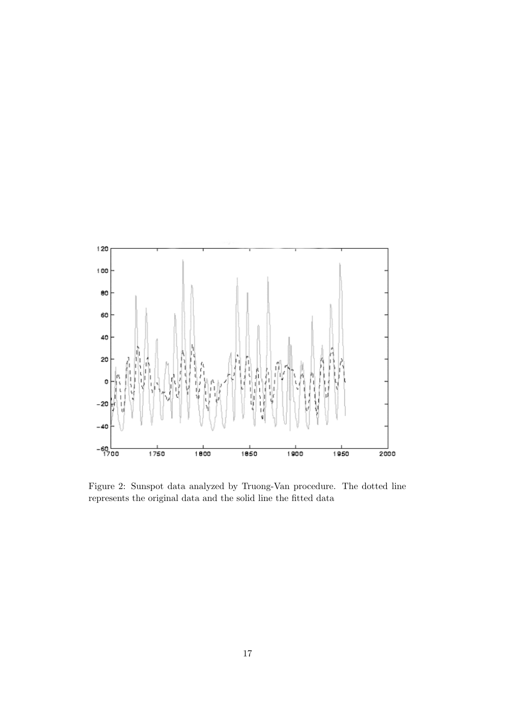

Figure 2: Sunspot data analyzed by Truong-Van procedure. The dotted line represents the original data and the solid line the fitted data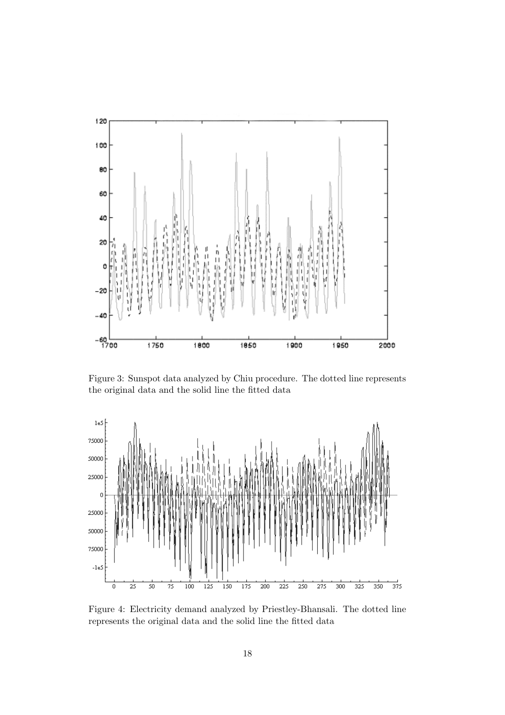

Figure 3: Sunspot data analyzed by Chiu procedure. The dotted line represents the original data and the solid line the fitted data



Figure 4: Electricity demand analyzed by Priestley-Bhansali. The dotted line represents the original data and the solid line the fitted data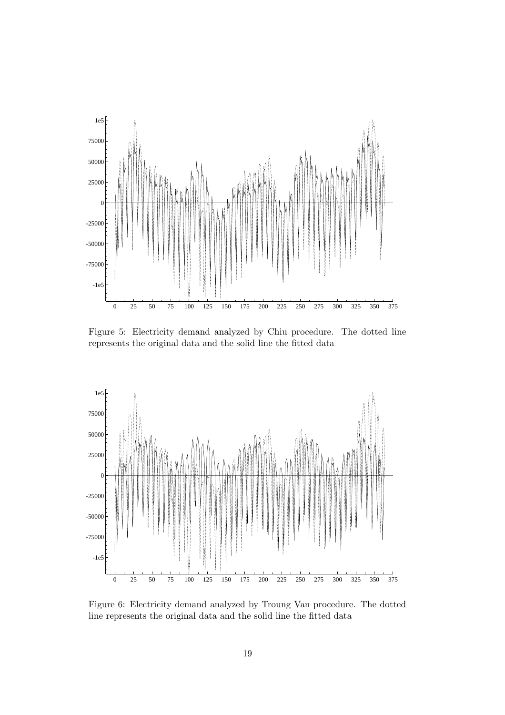

Figure 5: Electricity demand analyzed by Chiu procedure. The dotted line represents the original data and the solid line the fitted data



Figure 6: Electricity demand analyzed by Troung Van procedure. The dotted line represents the original data and the solid line the fitted data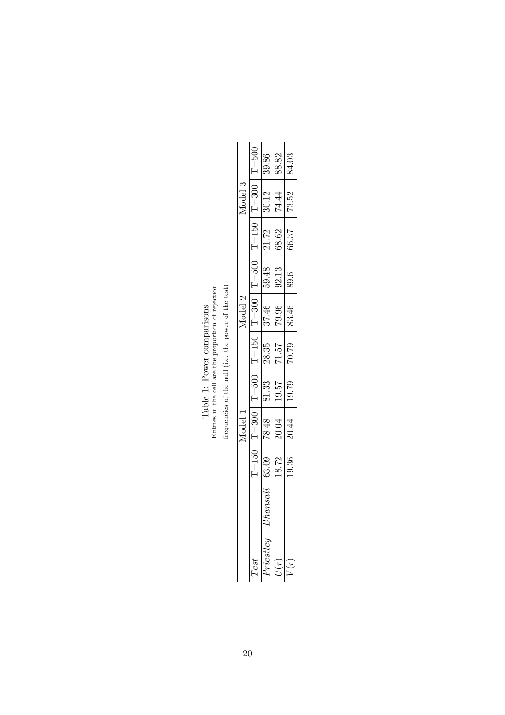|         |                                                                               |                                                                                       | 88.82                                                                                                   |                 |
|---------|-------------------------------------------------------------------------------|---------------------------------------------------------------------------------------|---------------------------------------------------------------------------------------------------------|-----------------|
| Model?  |                                                                               | $\begin{array}{ c c c c c c c c } \hline 21.72 & 30.12 & 39.86 \\ \hline \end{array}$ | 74.44                                                                                                   | $ 73.52 $ 84.03 |
|         |                                                                               |                                                                                       |                                                                                                         | $-66.37$        |
|         |                                                                               |                                                                                       | $\begin{array}{ c c c c c c c c } \hline \text{79.96} & \text{92.13} & \text{68.62} \hline \end{array}$ | 89.6            |
| Model   |                                                                               |                                                                                       |                                                                                                         | 70.79 83.46     |
|         |                                                                               |                                                                                       | 71.57                                                                                                   |                 |
|         |                                                                               | 81.33   28.35   37.46   59.48                                                         | 19.57                                                                                                   | 19.79           |
| Model 1 | $T=150$   $T=300$   $T=500$   $T=150$   $T=500$   $T=150$   $T=300$   $T=500$ | 178.48                                                                                | 20.04                                                                                                   | 20.44           |
|         |                                                                               |                                                                                       | 18.72                                                                                                   | 19.36           |
|         | Test                                                                          | $Price, tley - Blaansali   63.09$                                                     | $T_{I(\gamma)}$                                                                                         |                 |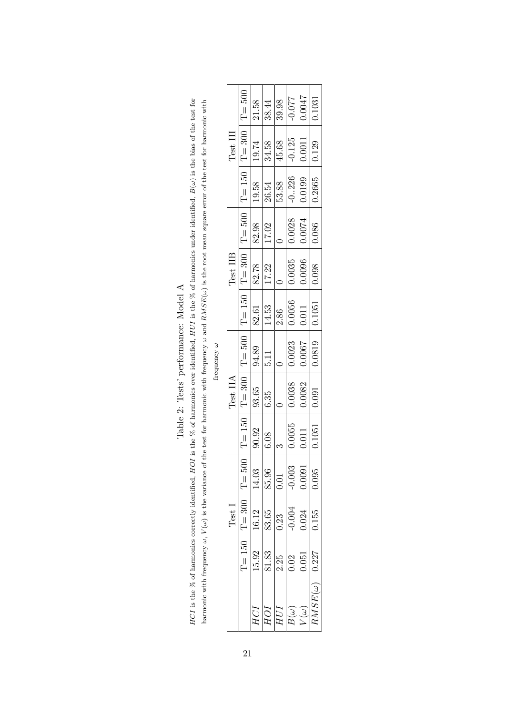|                    |          |                                                                                               | 21.58 | 38.44                 | 86.68                 | 12000       | <b>ZF00:C</b>         | 0.1031         |
|--------------------|----------|-----------------------------------------------------------------------------------------------|-------|-----------------------|-----------------------|-------------|-----------------------|----------------|
|                    | Test III |                                                                                               | 19.74 | 84.58                 | $45.68\,$             | $-0.125$    | 0.0011                | 0.129          |
|                    |          | $T = 150$   $T = 300$   $T = 500$   $T = 150$   $T = 500$   $T = 150$   $T = 300$   $T = 500$ | 19.58 | 26.54                 | 53.88                 | $-0.226$    | $\frac{6610}{0.0199}$ | 0.2665         |
|                    |          |                                                                                               | 82.98 | 17.02                 |                       | 0.0028      | 0.0074                | 0.080          |
|                    | Test IIB |                                                                                               | 87.28 | 17.22                 |                       | 0.0035      | $\frac{1}{0.0096}$    | 860.0          |
|                    |          |                                                                                               | 82.61 | 14.53                 | $\frac{2.86}{0.0056}$ |             | $\overline{0.011}$    | 0.1051         |
| frequency $\omega$ |          |                                                                                               | 94.89 | $\frac{11}{2}$        |                       | 0.0023      | 0.0067                | 6180.0         |
|                    | Test IIA |                                                                                               | 93.65 | $6.35^{\degree}$      |                       | 0.0038      | 0.0082                | 0.091          |
|                    |          |                                                                                               | 90.92 | 6.08                  |                       | 0.0055      | 0.011                 | 0.1051         |
|                    |          |                                                                                               | 14.03 |                       | $\frac{85.96}{0.01}$  |             | 1.0091                | 0.095          |
|                    | TestI    | $T = 150$   $T = 300$   $T = 500$                                                             |       | $\frac{16.12}{83.65}$ |                       | $-0.004$    | 0.024                 | 0.155          |
|                    |          |                                                                                               | 15.92 | 81.83                 | 2.25                  | 0.02        | 1.051                 | 0.227          |
|                    |          |                                                                                               | HCI   | HОI                   | HПH                   | $B(\omega)$ | $\tilde{(\omega)}$    | $RMSE(\omega)$ |

# Table 2: Tests' performance: Model A Table 2: Tests' performance: Model A

HCI is the % of harmonics correctly identified, HOI is the % of harmonics over identified, HUI is the % of harmonics under identified,  $B(\omega)$  is the bias of the test for harmonic with frequency  $\omega$ ,  $V(\omega)$  is the variance of the test for harmonic with frequency  $\omega$  and  $RMSE(\omega)$  is the root mean square error of the test for harmonic with HCI is the % of harmonics correctly identified, HOI is the % of harmonics over identified, HUI is the % of harmonics under identified,  $B(\omega)$  is the bias of the test for harmonic with frequency  $\omega$ ,  $V(\omega)$  is the variance of the test for harmonic with frequency  $\omega$  and  $RMSE(\omega)$  is the root mean square error of the test for harmonic with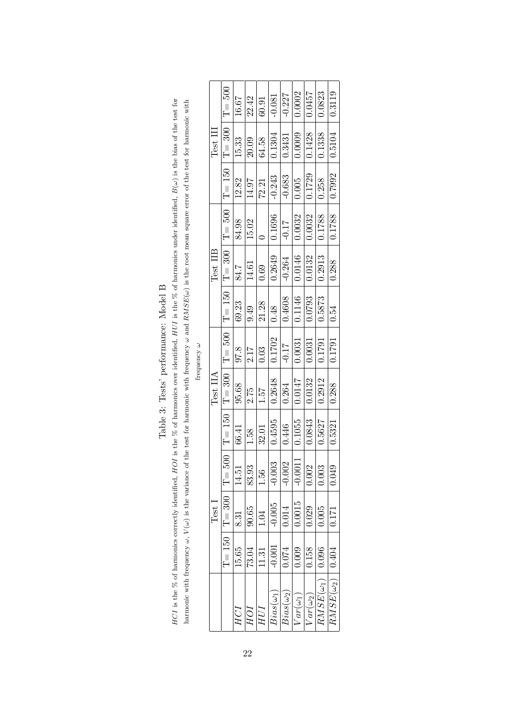|                    |              | $T = 500$         | 16.67 | 22.42             | 60.91 | $-0.081$         | $-0.227$         | 0.0002          | 0.0457          | 0.0823           | 0.3119                      |
|--------------------|--------------|-------------------|-------|-------------------|-------|------------------|------------------|-----------------|-----------------|------------------|-----------------------------|
|                    | $Test$ $\Pi$ | $T = 300$         | 15.33 | 20.09             | 64.58 | 0.1304           | 0.3431           | 0.0009          | 0.1428          | 0.1338           | 0.5104                      |
|                    |              | $T = 150$         | 12.82 | 14.97             | 72.21 | $-0.243$         | $-0.683$         | 0.005           | 0.1729          | 0.258            | 0.7992                      |
|                    |              | $T = 500$         | 84.98 | 15.02             |       | 0.1696           | $-0.17$          | 0.0032          | 0.0032          | 0.1788           | 0.1788                      |
|                    | Test IIB     | $\Gamma = 300$    | 84.7  | $14.61\,$         | 0.69  | 0.2649           | $-0.264$         | 0.0146          | 0.0132          | 0.2913           | 0.288                       |
|                    |              | $T = 150$         | 69.23 | 9.49              | 21.28 | 0.48             | 0.4608           | 0.1146          | 6620            | 0.5873           | 0.54                        |
| frequency $\omega$ |              | $T = 500$         | 97.8  | $\overline{2.17}$ | 0.03  | 0.1702           | $-0.17$          | 0.0031          | 0.0031          | 0.1791           | 0.1791                      |
|                    | Test IIA     | $T = 300$         | 95.68 | 2.75              | 1.57  | 0.2648           | 0.264            | 0.0147          | 0.0132          | 0.2912           | 0.288                       |
|                    |              | $T = 150$         | 66.41 | 1.58              | 32.01 | 0.4595           | 0.446            | 0.1055          | 0.0843          | 0.5627           | 0.5321                      |
|                    |              | $T = 500$         | 14.51 | 83.93             | 1.56  | $-0.003$         | $-0.002$         | $-0.0011$       | 0.002           | 0.003            | 0.049                       |
|                    | Test         | $T=150$   $T=300$ | 8.31  | 90.65             | 1.04  | $-0.005$         | 0.014            | 0.0015          | 0.029           | 0.005            | $-0.171$                    |
|                    |              |                   | 15.65 | 73.04             | 11.31 | $-0.001$         | 0.074            | 0.009           | 0.158           | 0.096            |                             |
|                    |              |                   | HСI   | HОI               | HUI   | $Bias(\omega_1)$ | $Bias(\omega_2)$ | $Var(\omega_1)$ | $Var(\omega_2)$ | $RMSE(\omega_1)$ | $RMSE(\omega_2) \mid 0.404$ |

| ρ<br>$\ddot{\phantom{0}}$<br>I   |
|----------------------------------|
| $\sim$ 0.0 $\sim$<br>ļ<br>ļ<br>Í |
| ŀ                                |
| ١<br>I<br>l                      |

HCI is the % of harmonics correctly identified, HOI is the % of harmonics over identified, HUI is the % of harmonics under identified,  $B(\omega)$  is the bias of the test for harmonic with frequency  $\omega$ ,  $V(\omega)$  is the variance of the test for harmonic with frequency  $\omega$  and  $RMSE(\omega)$  is the root mean square error of the test for harmonic with

HCI is the % of harmonics correctly identified, HOI is the % of harmonics over identified, HUI is the % of harmonics under identified,  $B(\omega)$  is the bias of the test for harmonic with frequency  $\omega$ ,  $V(\omega)$  is the variance of the test for harmonic with frequency  $\omega$  and  $RMSE(\omega)$  is the root mean square error of the test for harmonic with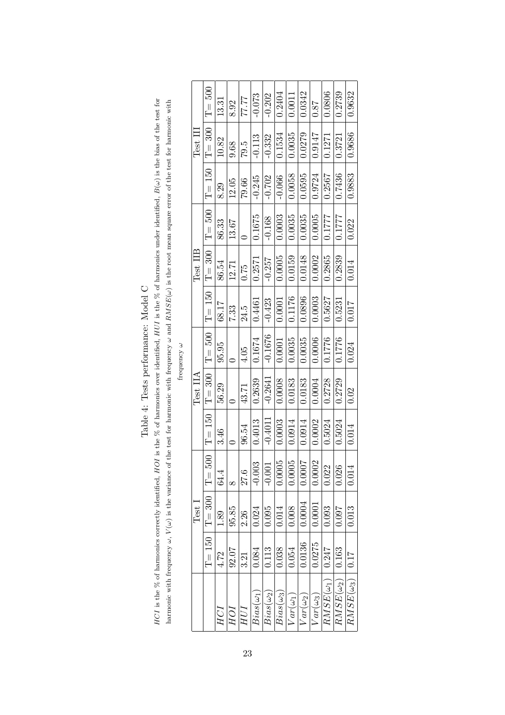|                             |           | $Test$ $\overline{1}$ |          |           | TestIIA   |           |           | $\operatorname{Test}$ $\operatorname{IIB}$ |           |           | Test III  |           |
|-----------------------------|-----------|-----------------------|----------|-----------|-----------|-----------|-----------|--------------------------------------------|-----------|-----------|-----------|-----------|
|                             | $T = 150$ | $T = 300$             | $T = 50$ | $T = 150$ | $T = 300$ | $T = 500$ | $T = 150$ | $T = 300$                                  | $T = 500$ | $T = 150$ | $T = 300$ | $T = 500$ |
| HCI                         | 4.72      | 1.89                  | 64.4     | 3.46      | 56.29     | 95.95     | 68.17     | 86.54                                      | 86.33     | 8.29      | 10.82     | 13.31     |
| HОI                         | 92.07     | 95.85                 | $\infty$ |           |           |           | 7.33      | 12.71                                      | 13.67     | 12.05     | 9.68      | 8.92      |
| HUI                         | 3.21      | 2.26                  | 27.6     | 96.54     | 43.71     | 4.05      | 24.5      | 0.75                                       |           | 79.66     | 79.5      | 77.77     |
| $Bias(\omega_1)$            | 0.084     | 0.024                 | $-0.003$ | 0.4013    | 0.2639    | 0.1674    | 0.4461    | 0.2571                                     | 0.1675    | $-0.245$  | $-0.113$  | $-0.073$  |
| $Bias(\omega_2)$            | 0.113     | 0.095                 | $-0.001$ | $-0.4011$ | $-0.2641$ | $-0.1676$ | $-0.423$  | $-0.257$                                   | $-0.168$  | $-0.702$  | $-0.332$  | $-0.202$  |
| $Bias(\omega_3)$            | 0.038     | 0.014                 | 0.0005   | 0.0003    | 0.0008    | 0.0001    | 0.0001    | 0.0005                                     | 0.0003    | $-0.066$  | 0.1534    | 0.2404    |
| $Var(\omega_1)$             | 0.054     | 0.008                 | 0.0005   | 0.0914    | 0.0183    | 0.0035    | 0.1176    | 0.0159                                     | 0.0035    | 0.0058    | 0.0035    | 0.0011    |
| $Var(\omega_2)$             | 0.0136    | 0.0004                | 0.0007   | 0.0914    | 0.0183    | 0.0035    | 0.0896    | 0.0148                                     | 0.0035    | 0.0595    | 0.0279    | 0.0342    |
| $Var(\omega_3)$             | 0.0275    | 1.0001                | 0.0002   | 0.0002    | 0.0004    | 0.0006    | 0.0003    | 0.0002                                     | 0.0005    | 0.9724    | 0.9147    | 78.0      |
| $RMSE(\omega_1)$            | 0.247     | 0.093                 | 0.022    | 0.5024    | 0.2728    | 0.1776    | 0.5627    | 0.2865                                     | 0.1777    | 0.2567    | 0.1271    | 0.0806    |
| $\overline{RMS}E(\omega_2)$ | 0.163     | 0.097                 | 0.026    | 0.5024    | 0.2729    | 0.1776    | 0.5231    | 0.2839                                     | 0.1777    | 0.7436    | 0.3721    | 0.2739    |
| $RMSE(\omega_3)$            | 0.17      | 0.013                 | 0.014    | 0.014     | 0.02      | 0.024     | 0.017     | 0.014                                      | 0.022     | 0.9883    | 0.9686    | 0.9632    |

HCI is the % of harmonics correctly identified, HOI is the % of harmonics over identified, HUI is the % of harmonics under identified,  $B(\omega)$  is the bias of the test for harmonic with frequency  $\omega$ ,  $V(\omega)$  is the variance of the test for harmonic with frequency  $\omega$  and  $RMSE(\omega)$  is the root mean square error of the test for harmonic with HCI is the % of harmonics correctly identified, HOI is the % of harmonics over identified, HUI is the % of harmonics under identified,  $B(\omega)$  is the bias of the test for Table 4: Tests performance: Model C Table 4: Tests performance: Model C

harmonic with frequency  $\omega$ ,  $V(\omega)$  is the variance of the test for harmonic with frequency  $\omega$  and  $RMSE(\omega)$  is the root mean square error of the test for harmonic with frequency ω

frequency  $\omega$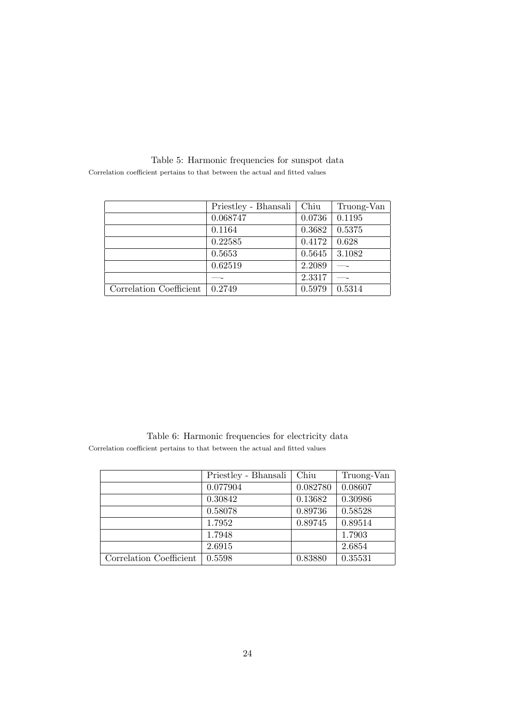|                         | Priestley - Bhansali | Chiu   | Truong-Van |
|-------------------------|----------------------|--------|------------|
|                         | 0.068747             | 0.0736 | 0.1195     |
|                         | 0.1164               | 0.3682 | 0.5375     |
|                         | 0.22585              | 0.4172 | 0.628      |
|                         | 0.5653               | 0.5645 | 3.1082     |
|                         | 0.62519              | 2.2089 |            |
|                         |                      | 2.3317 |            |
| Correlation Coefficient | 0.2749               | 0.5979 | 0.5314     |

Table 5: Harmonic frequencies for sunspot data Correlation coefficient pertains to that between the actual and fitted values

Table 6: Harmonic frequencies for electricity data Correlation coefficient pertains to that between the actual and fitted values

|                         | Priestley - Bhansali | Chiu     | Truong-Van |
|-------------------------|----------------------|----------|------------|
|                         | 0.077904             | 0.082780 | 0.08607    |
|                         | 0.30842              | 0.13682  | 0.30986    |
|                         | 0.58078              | 0.89736  | 0.58528    |
|                         | 1.7952               | 0.89745  | 0.89514    |
|                         | 1.7948               |          | 1.7903     |
|                         | 2.6915               |          | 2.6854     |
| Correlation Coefficient | 0.5598               | 0.83880  | 0.35531    |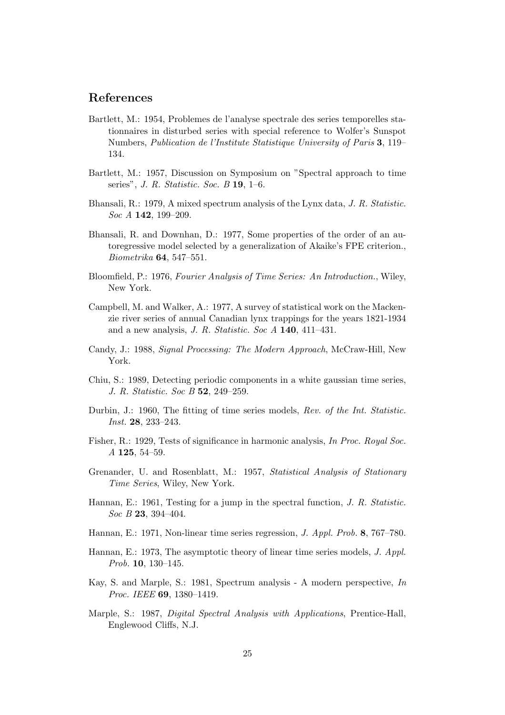# References

- Bartlett, M.: 1954, Problemes de l'analyse spectrale des series temporelles stationnaires in disturbed series with special reference to Wolfer's Sunspot Numbers, Publication de l'Institute Statistique University of Paris 3, 119– 134.
- Bartlett, M.: 1957, Discussion on Symposium on "Spectral approach to time series", *J. R. Statistic. Soc. B* **19**, 1–6.
- Bhansali, R.: 1979, A mixed spectrum analysis of the Lynx data, J. R. Statistic. Soc A **142**, 199–209.
- Bhansali, R. and Downhan, D.: 1977, Some properties of the order of an autoregressive model selected by a generalization of Akaike's FPE criterion., Biometrika 64, 547–551.
- Bloomfield, P.: 1976, Fourier Analysis of Time Series: An Introduction., Wiley, New York.
- Campbell, M. and Walker, A.: 1977, A survey of statistical work on the Mackenzie river series of annual Canadian lynx trappings for the years 1821-1934 and a new analysis, J. R. Statistic. Soc A 140, 411–431.
- Candy, J.: 1988, Signal Processing: The Modern Approach, McCraw-Hill, New York.
- Chiu, S.: 1989, Detecting periodic components in a white gaussian time series, J. R. Statistic. Soc B 52, 249–259.
- Durbin, J.: 1960, The fitting of time series models, Rev. of the Int. Statistic. Inst. 28, 233–243.
- Fisher, R.: 1929, Tests of significance in harmonic analysis, In Proc. Royal Soc. A 125, 54–59.
- Grenander, U. and Rosenblatt, M.: 1957, Statistical Analysis of Stationary Time Series, Wiley, New York.
- Hannan, E.: 1961, Testing for a jump in the spectral function, J. R. Statistic. Soc B 23, 394-404.
- Hannan, E.: 1971, Non-linear time series regression, J. Appl. Prob. 8, 767–780.
- Hannan, E.: 1973, The asymptotic theory of linear time series models, J. Appl. Prob. **10**, 130–145.
- Kay, S. and Marple, S.: 1981, Spectrum analysis A modern perspective, In Proc. IEEE **69**, 1380-1419.
- Marple, S.: 1987, Digital Spectral Analysis with Applications, Prentice-Hall, Englewood Cliffs, N.J.